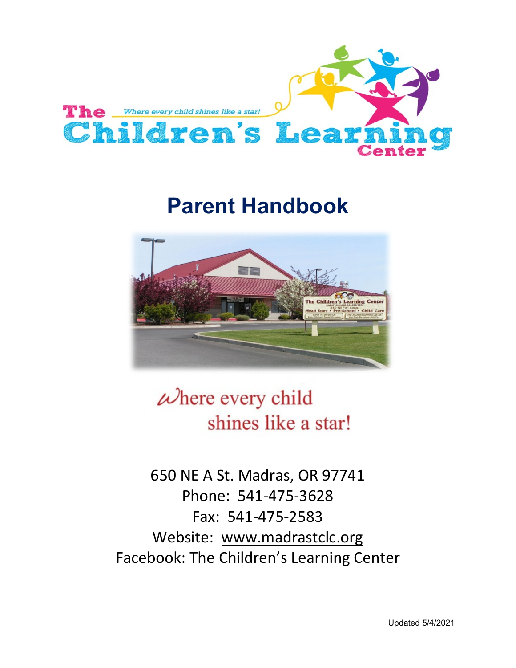<span id="page-0-0"></span>

# **Parent Handbook**



# $\omega$  here every child shines like a star!

650 NE A St. Madras, OR 97741 Phone: 541-475-3628 Fax: 541-475-2583 Website: [www.madrastclc.org](http://www.madrastclc.org/) Facebook: The Children's Learning Center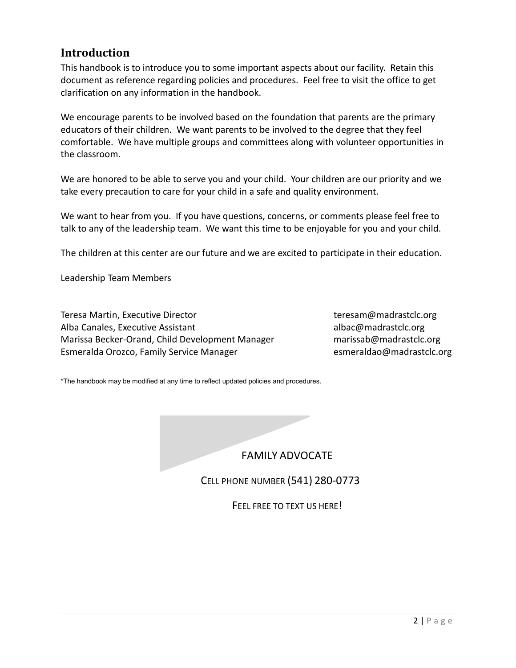# <span id="page-1-0"></span>**Introduction**

This handbook is to introduce you to some important aspects about our facility. Retain this document as reference regarding policies and procedures. Feel free to visit the office to get clarification on any information in the handbook.

We encourage parents to be involved based on the foundation that parents are the primary educators of their children. We want parents to be involved to the degree that they feel comfortable. We have multiple groups and committees along with volunteer opportunities in the classroom.

We are honored to be able to serve you and your child. Your children are our priority and we take every precaution to care for your child in a safe and quality environment.

We want to hear from you. If you have questions, concerns, or comments please feel free to talk to any of the leadership team. We want this time to be enjoyable for you and your child.

The children at this center are our future and we are excited to participate in their education.

Leadership Team Members

Teresa Martin, Executive Director teresam@madrastclc.org Alba Canales, Executive Assistant albac@madrastclc.org Marissa Becker-Orand, Child Development Manager marissab@madrastclc.org Esmeralda Orozco, Family Service Manager [esmeraldao@madrastclc.org](mailto:esmeraldao@madrastclc.org)

\*The handbook may be modified at any time to reflect updated policies and procedures.

FAMILY ADVOCATE

CELL PHONE NUMBER (541) 280-0773

FEEL FREE TO TEXT US HERE!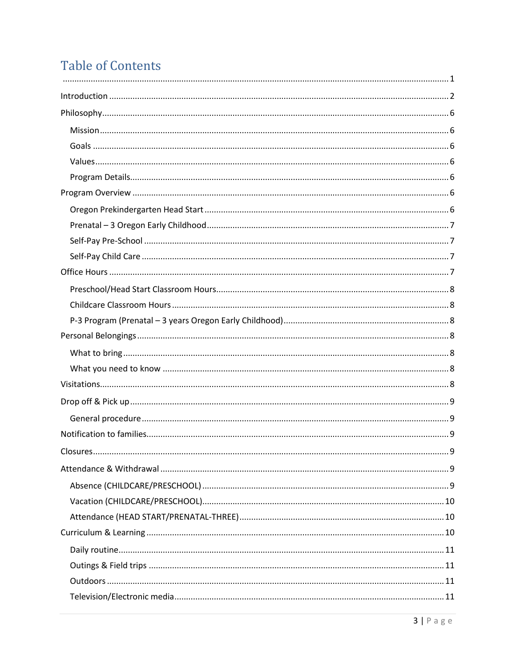# **Table of Contents**

| . 9 |
|-----|
|     |
|     |
|     |
|     |
|     |
|     |
|     |
|     |
|     |
|     |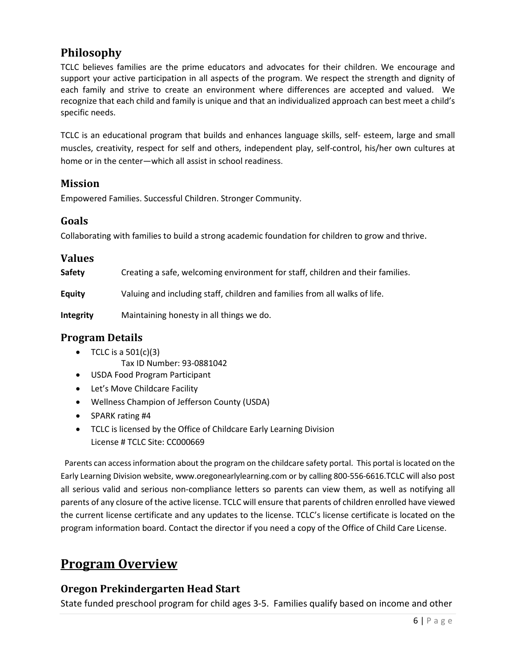# <span id="page-5-0"></span>**Philosophy**

TCLC believes families are the prime educators and advocates for their children. We encourage and support your active participation in all aspects of the program. We respect the strength and dignity of each family and strive to create an environment where differences are accepted and valued. We recognize that each child and family is unique and that an individualized approach can best meet a child's specific needs.

TCLC is an educational program that builds and enhances language skills, self- esteem, large and small muscles, creativity, respect for self and others, independent play, self-control, his/her own cultures at home or in the center—which all assist in school readiness.

#### <span id="page-5-1"></span>**Mission**

Empowered Families. Successful Children. Stronger Community.

#### <span id="page-5-2"></span>**Goals**

Collaborating with families to build a strong academic foundation for children to grow and thrive.

<span id="page-5-3"></span>

| <b>Values</b> |                                                                                |
|---------------|--------------------------------------------------------------------------------|
| Safety        | Creating a safe, welcoming environment for staff, children and their families. |
| <b>Equity</b> | Valuing and including staff, children and families from all walks of life.     |
| Integrity     | Maintaining honesty in all things we do.                                       |

## <span id="page-5-4"></span>**Program Details**

- TCLC is a  $501(c)(3)$ 
	- Tax ID Number: 93-0881042
- USDA Food Program Participant
- Let's Move Childcare Facility
- Wellness Champion of Jefferson County (USDA)
- SPARK rating #4
- TCLC is licensed by the Office of Childcare Early Learning Division License # TCLC Site: CC000669

 Parents can access information about the program on the childcare safety portal. This portal is located on the Early Learning Division website, www.oregonearlylearning.com or by calling 800-556-6616.TCLC will also post all serious valid and serious non-compliance letters so parents can view them, as well as notifying all parents of any closure of the active license. TCLC will ensure that parents of children enrolled have viewed the current license certificate and any updates to the license. TCLC's license certificate is located on the program information board. Contact the director if you need a copy of the Office of Child Care License.

# <span id="page-5-5"></span>**Program Overview**

# <span id="page-5-6"></span>**Oregon Prekindergarten Head Start**

State funded preschool program for child ages 3-5. Families qualify based on income and other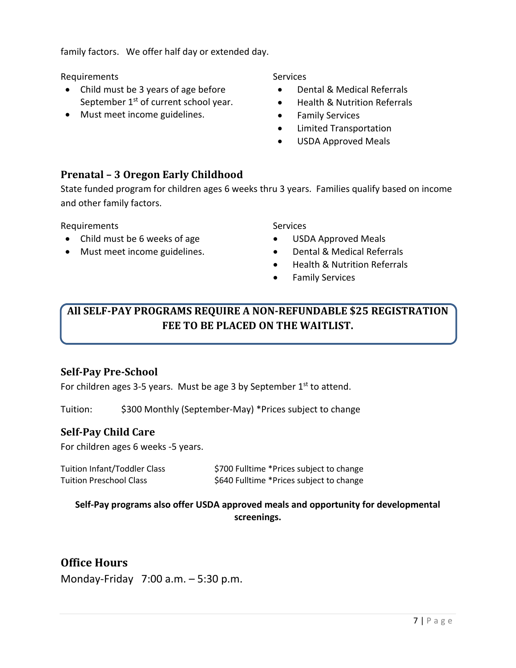family factors. We offer half day or extended day.

Requirements **Services** Services

- Child must be 3 years of age before September 1<sup>st</sup> of current school year.
- Must meet income guidelines.

- Dental & Medical Referrals
- Health & Nutrition Referrals
- Family Services
- Limited Transportation
- USDA Approved Meals

# <span id="page-6-0"></span>**Prenatal – 3 Oregon Early Childhood**

State funded program for children ages 6 weeks thru 3 years. Families qualify based on income and other family factors.

Requirements Services

- Child must be 6 weeks of age
- Must meet income guidelines.

- USDA Approved Meals
- Dental & Medical Referrals
- Health & Nutrition Referrals
- Family Services

# **All SELF-PAY PROGRAMS REQUIRE A NON-REFUNDABLE \$25 REGISTRATION FEE TO BE PLACED ON THE WAITLIST.**

# <span id="page-6-1"></span>**Self-Pay Pre-School**

For children ages 3-5 years. Must be age 3 by September  $1<sup>st</sup>$  to attend.

Tuition: \$300 Monthly (September-May) \*Prices subject to change

#### <span id="page-6-2"></span>**Self-Pay Child Care**

For children ages 6 weeks -5 years.

| <b>Tuition Infant/Toddler Class</b> | \$700 Fulltime *Prices subject to change |
|-------------------------------------|------------------------------------------|
| <b>Tuition Preschool Class</b>      | \$640 Fulltime *Prices subject to change |

#### **Self-Pay programs also offer USDA approved meals and opportunity for developmental screenings.**

# <span id="page-6-3"></span>**Office Hours**

Monday-Friday 7:00 a.m. – 5:30 p.m.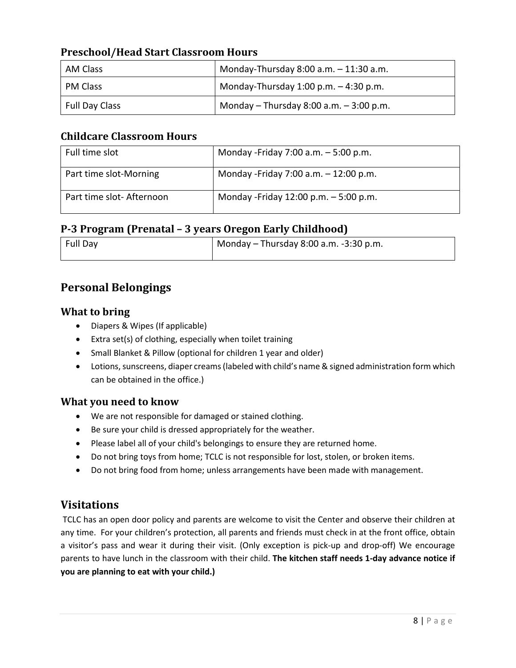## <span id="page-7-0"></span>**Preschool/Head Start Classroom Hours**

| AM Class              | Monday-Thursday $8:00$ a.m. $-11:30$ a.m.   |  |
|-----------------------|---------------------------------------------|--|
| PM Class              | Monday-Thursday $1:00$ p.m. $-4:30$ p.m.    |  |
| <b>Full Day Class</b> | Monday $-$ Thursday 8:00 a.m. $-$ 3:00 p.m. |  |

#### <span id="page-7-1"></span>**Childcare Classroom Hours**

| Full time slot           | Monday - Friday 7:00 a.m. - 5:00 p.m.  |
|--------------------------|----------------------------------------|
| Part time slot-Morning   | Monday - Friday 7:00 a.m. - 12:00 p.m. |
| Part time slot-Afternoon | Monday -Friday 12:00 p.m. $-5:00$ p.m. |

### <span id="page-7-2"></span>**P-3 Program (Prenatal – 3 years Oregon Early Childhood)**

| Full Day | $^{\prime}$ Monday – Thursday 8:00 a.m. -3:30 p.m. |  |  |
|----------|----------------------------------------------------|--|--|
|          |                                                    |  |  |

# <span id="page-7-3"></span>**Personal Belongings**

#### <span id="page-7-4"></span>**What to bring**

- Diapers & Wipes (If applicable)
- Extra set(s) of clothing, especially when toilet training
- Small Blanket & Pillow (optional for children 1 year and older)
- Lotions, sunscreens, diaper creams (labeled with child's name & signed administration form which can be obtained in the office.)

#### <span id="page-7-5"></span>**What you need to know**

- We are not responsible for damaged or stained clothing.
- Be sure your child is dressed appropriately for the weather.
- Please label all of your child's belongings to ensure they are returned home.
- Do not bring toys from home; TCLC is not responsible for lost, stolen, or broken items.
- Do not bring food from home; unless arrangements have been made with management.

# <span id="page-7-6"></span>**Visitations**

TCLC has an open door policy and parents are welcome to visit the Center and observe their children at any time. For your children's protection, all parents and friends must check in at the front office, obtain a visitor's pass and wear it during their visit. (Only exception is pick-up and drop-off) We encourage parents to have lunch in the classroom with their child. **The kitchen staff needs 1-day advance notice if you are planning to eat with your child.)**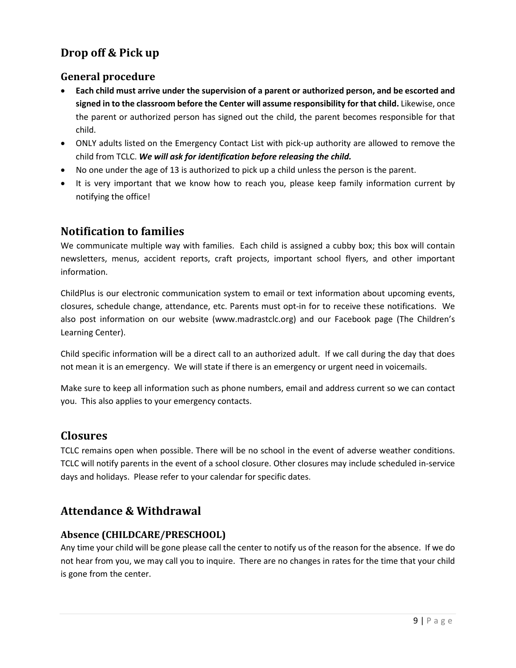# <span id="page-8-0"></span>**Drop off & Pick up**

#### <span id="page-8-1"></span>**General procedure**

- **Each child must arrive under the supervision of a parent or authorized person, and be escorted and signed in to the classroom before the Center will assume responsibility for that child.** Likewise, once the parent or authorized person has signed out the child, the parent becomes responsible for that child.
- ONLY adults listed on the Emergency Contact List with pick-up authority are allowed to remove the child from TCLC. *We will ask for identification before releasing the child.*
- No one under the age of 13 is authorized to pick up a child unless the person is the parent.
- It is very important that we know how to reach you, please keep family information current by notifying the office!

# <span id="page-8-2"></span>**Notification to families**

We communicate multiple way with families. Each child is assigned a cubby box; this box will contain newsletters, menus, accident reports, craft projects, important school flyers, and other important information.

ChildPlus is our electronic communication system to email or text information about upcoming events, closures, schedule change, attendance, etc. Parents must opt-in for to receive these notifications. We also post information on our website (www.madrastclc.org) and our Facebook page (The Children's Learning Center).

Child specific information will be a direct call to an authorized adult. If we call during the day that does not mean it is an emergency. We will state if there is an emergency or urgent need in voicemails.

Make sure to keep all information such as phone numbers, email and address current so we can contact you. This also applies to your emergency contacts.

# <span id="page-8-3"></span>**Closures**

TCLC remains open when possible. There will be no school in the event of adverse weather conditions. TCLC will notify parents in the event of a school closure. Other closures may include scheduled in-service days and holidays. Please refer to your calendar for specific dates.

# <span id="page-8-4"></span>**Attendance & Withdrawal**

#### <span id="page-8-5"></span>**Absence (CHILDCARE/PRESCHOOL)**

Any time your child will be gone please call the center to notify us of the reason for the absence. If we do not hear from you, we may call you to inquire. There are no changes in rates for the time that your child is gone from the center.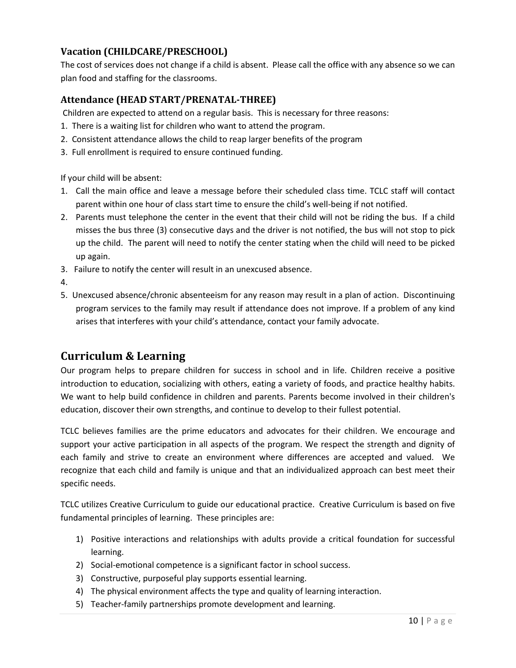## <span id="page-9-0"></span>**Vacation (CHILDCARE/PRESCHOOL)**

The cost of services does not change if a child is absent. Please call the office with any absence so we can plan food and staffing for the classrooms.

#### <span id="page-9-1"></span>**Attendance (HEAD START/PRENATAL-THREE)**

Children are expected to attend on a regular basis. This is necessary for three reasons:

- 1. There is a waiting list for children who want to attend the program.
- 2. Consistent attendance allows the child to reap larger benefits of the program
- 3. Full enrollment is required to ensure continued funding.

If your child will be absent:

- 1. Call the main office and leave a message before their scheduled class time. TCLC staff will contact parent within one hour of class start time to ensure the child's well-being if not notified.
- 2. Parents must telephone the center in the event that their child will not be riding the bus. If a child misses the bus three (3) consecutive days and the driver is not notified, the bus will not stop to pick up the child. The parent will need to notify the center stating when the child will need to be picked up again.
- 3. Failure to notify the center will result in an unexcused absence.
- 4.
- 5. Unexcused absence/chronic absenteeism for any reason may result in a plan of action. Discontinuing program services to the family may result if attendance does not improve. If a problem of any kind arises that interferes with your child's attendance, contact your family advocate.

# <span id="page-9-2"></span>**Curriculum & Learning**

Our program helps to prepare children for success in school and in life. Children receive a positive introduction to education, socializing with others, eating a variety of foods, and practice healthy habits. We want to help build confidence in children and parents. Parents become involved in their children's education, discover their own strengths, and continue to develop to their fullest potential.

TCLC believes families are the prime educators and advocates for their children. We encourage and support your active participation in all aspects of the program. We respect the strength and dignity of each family and strive to create an environment where differences are accepted and valued. We recognize that each child and family is unique and that an individualized approach can best meet their specific needs.

TCLC utilizes Creative Curriculum to guide our educational practice. Creative Curriculum is based on five fundamental principles of learning. These principles are:

- 1) Positive interactions and relationships with adults provide a critical foundation for successful learning.
- 2) Social-emotional competence is a significant factor in school success.
- 3) Constructive, purposeful play supports essential learning.
- 4) The physical environment affects the type and quality of learning interaction.
- 5) Teacher-family partnerships promote development and learning.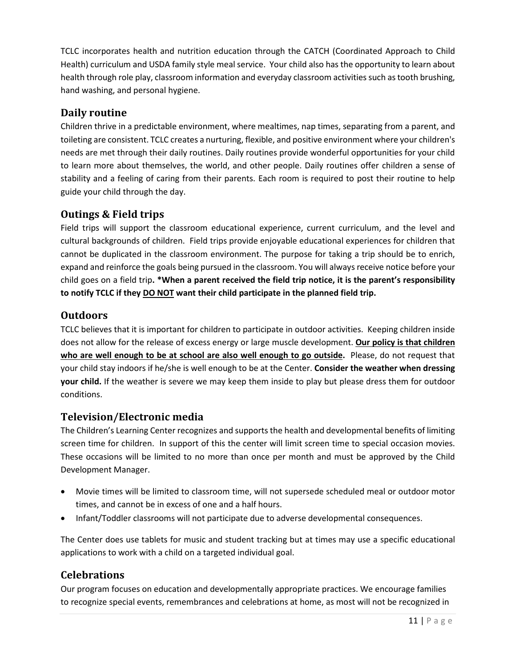TCLC incorporates health and nutrition education through the CATCH (Coordinated Approach to Child Health) curriculum and USDA family style meal service. Your child also has the opportunity to learn about health through role play, classroom information and everyday classroom activities such as tooth brushing, hand washing, and personal hygiene.

## <span id="page-10-0"></span>**Daily routine**

Children thrive in a predictable environment, where mealtimes, nap times, separating from a parent, and toileting are consistent. TCLC creates a nurturing, flexible, and positive environment where your children's needs are met through their daily routines. Daily routines provide wonderful opportunities for your child to learn more about themselves, the world, and other people. Daily routines offer children a sense of stability and a feeling of caring from their parents. Each room is required to post their routine to help guide your child through the day.

#### <span id="page-10-1"></span>**Outings & Field trips**

Field trips will support the classroom educational experience, current curriculum, and the level and cultural backgrounds of children. Field trips provide enjoyable educational experiences for children that cannot be duplicated in the classroom environment. The purpose for taking a trip should be to enrich, expand and reinforce the goals being pursued in the classroom. You will always receive notice before your child goes on a field trip**. \*When a parent received the field trip notice, it is the parent's responsibility to notify TCLC if they DO NOT want their child participate in the planned field trip.**

#### <span id="page-10-2"></span>**Outdoors**

TCLC believes that it is important for children to participate in outdoor activities. Keeping children inside does not allow for the release of excess energy or large muscle development. **Our policy is that children who are well enough to be at school are also well enough to go outside.** Please, do not request that your child stay indoors if he/she is well enough to be at the Center. **Consider the weather when dressing your child.** If the weather is severe we may keep them inside to play but please dress them for outdoor conditions.

#### <span id="page-10-3"></span>**Television/Electronic media**

The Children's Learning Center recognizes and supports the health and developmental benefits of limiting screen time for children. In support of this the center will limit screen time to special occasion movies. These occasions will be limited to no more than once per month and must be approved by the Child Development Manager.

- Movie times will be limited to classroom time, will not supersede scheduled meal or outdoor motor times, and cannot be in excess of one and a half hours.
- Infant/Toddler classrooms will not participate due to adverse developmental consequences.

The Center does use tablets for music and student tracking but at times may use a specific educational applications to work with a child on a targeted individual goal.

#### <span id="page-10-4"></span>**Celebrations**

Our program focuses on education and developmentally appropriate practices. We encourage families to recognize special events, remembrances and celebrations at home, as most will not be recognized in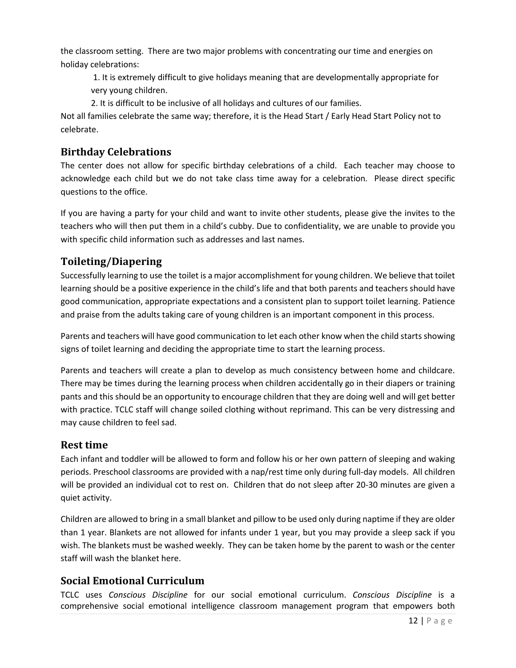the classroom setting. There are two major problems with concentrating our time and energies on holiday celebrations:

1. It is extremely difficult to give holidays meaning that are developmentally appropriate for very young children.

2. It is difficult to be inclusive of all holidays and cultures of our families.

Not all families celebrate the same way; therefore, it is the Head Start / Early Head Start Policy not to celebrate.

### <span id="page-11-0"></span>**Birthday Celebrations**

The center does not allow for specific birthday celebrations of a child. Each teacher may choose to acknowledge each child but we do not take class time away for a celebration. Please direct specific questions to the office.

If you are having a party for your child and want to invite other students, please give the invites to the teachers who will then put them in a child's cubby. Due to confidentiality, we are unable to provide you with specific child information such as addresses and last names.

# <span id="page-11-1"></span>**Toileting/Diapering**

Successfully learning to use the toilet is a major accomplishment for young children. We believe that toilet learning should be a positive experience in the child's life and that both parents and teachers should have good communication, appropriate expectations and a consistent plan to support toilet learning. Patience and praise from the adults taking care of young children is an important component in this process.

Parents and teachers will have good communication to let each other know when the child starts showing signs of toilet learning and deciding the appropriate time to start the learning process.

Parents and teachers will create a plan to develop as much consistency between home and childcare. There may be times during the learning process when children accidentally go in their diapers or training pants and this should be an opportunity to encourage children that they are doing well and will get better with practice. TCLC staff will change soiled clothing without reprimand. This can be very distressing and may cause children to feel sad.

#### <span id="page-11-2"></span>**Rest time**

Each infant and toddler will be allowed to form and follow his or her own pattern of sleeping and waking periods. Preschool classrooms are provided with a nap/rest time only during full-day models. All children will be provided an individual cot to rest on. Children that do not sleep after 20-30 minutes are given a quiet activity.

Children are allowed to bring in a small blanket and pillow to be used only during naptime if they are older than 1 year. Blankets are not allowed for infants under 1 year, but you may provide a sleep sack if you wish. The blankets must be washed weekly. They can be taken home by the parent to wash or the center staff will wash the blanket here.

# <span id="page-11-3"></span>**Social Emotional Curriculum**

TCLC uses *Conscious Discipline* for our social emotional curriculum. *Conscious Discipline* is a comprehensive social emotional intelligence classroom management program that empowers both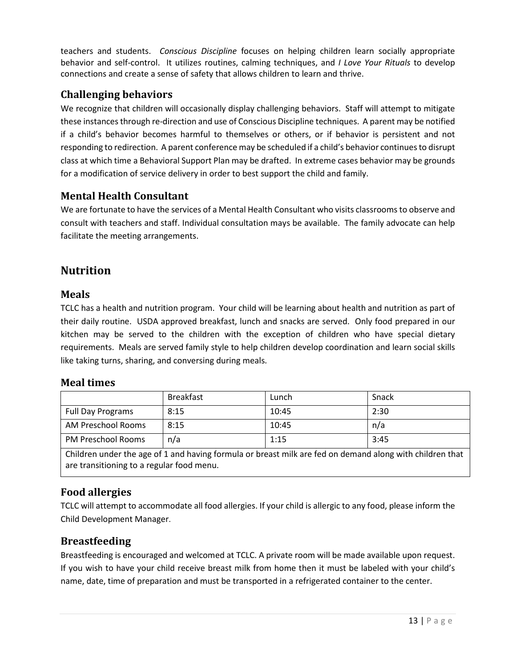teachers and students. *Conscious Discipline* focuses on helping children learn socially appropriate behavior and self-control. It utilizes routines, calming techniques, and *I Love Your Rituals* to develop connections and create a sense of safety that allows children to learn and thrive.

#### <span id="page-12-0"></span>**Challenging behaviors**

We recognize that children will occasionally display challenging behaviors. Staff will attempt to mitigate these instances through re-direction and use of Conscious Discipline techniques. A parent may be notified if a child's behavior becomes harmful to themselves or others, or if behavior is persistent and not responding to redirection. A parent conference may be scheduled if a child's behavior continues to disrupt class at which time a Behavioral Support Plan may be drafted. In extreme cases behavior may be grounds for a modification of service delivery in order to best support the child and family.

#### <span id="page-12-1"></span>**Mental Health Consultant**

We are fortunate to have the services of a Mental Health Consultant who visits classrooms to observe and consult with teachers and staff. Individual consultation mays be available. The family advocate can help facilitate the meeting arrangements.

# <span id="page-12-2"></span>**Nutrition**

#### <span id="page-12-3"></span>**Meals**

TCLC has a health and nutrition program. Your child will be learning about health and nutrition as part of their daily routine. USDA approved breakfast, lunch and snacks are served. Only food prepared in our kitchen may be served to the children with the exception of children who have special dietary requirements. Meals are served family style to help children develop coordination and learn social skills like taking turns, sharing, and conversing during meals.

#### <span id="page-12-4"></span>**Meal times**

|                           | <b>Breakfast</b> | Lunch | Snack |
|---------------------------|------------------|-------|-------|
| Full Day Programs         | 8:15             | 10:45 | 2:30  |
| AM Preschool Rooms        | 8:15             | 10:45 | n/a   |
| <b>PM Preschool Rooms</b> | n/a              | 1:15  | 3:45  |

Children under the age of 1 and having formula or breast milk are fed on demand along with children that are transitioning to a regular food menu.

# <span id="page-12-5"></span>**Food allergies**

TCLC will attempt to accommodate all food allergies. If your child is allergic to any food, please inform the Child Development Manager.

#### <span id="page-12-6"></span>**Breastfeeding**

Breastfeeding is encouraged and welcomed at TCLC. A private room will be made available upon request. If you wish to have your child receive breast milk from home then it must be labeled with your child's name, date, time of preparation and must be transported in a refrigerated container to the center.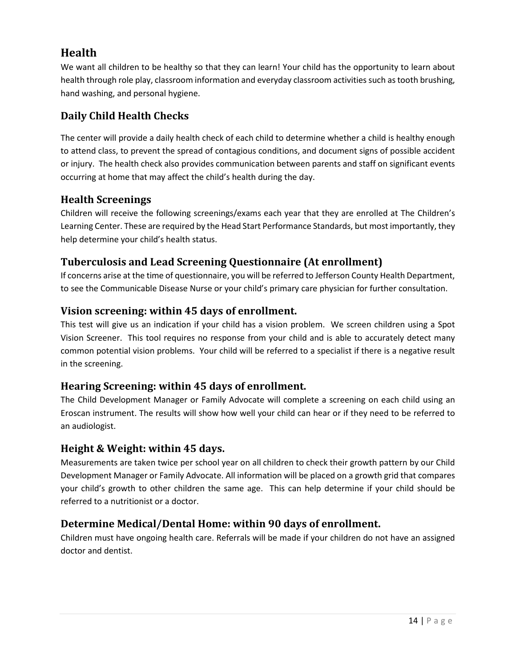# <span id="page-13-0"></span>**Health**

We want all children to be healthy so that they can learn! Your child has the opportunity to learn about health through role play, classroom information and everyday classroom activities such as tooth brushing, hand washing, and personal hygiene.

# <span id="page-13-1"></span>**Daily Child Health Checks**

The center will provide a daily health check of each child to determine whether a child is healthy enough to attend class, to prevent the spread of contagious conditions, and document signs of possible accident or injury. The health check also provides communication between parents and staff on significant events occurring at home that may affect the child's health during the day.

# <span id="page-13-2"></span>**Health Screenings**

Children will receive the following screenings/exams each year that they are enrolled at The Children's Learning Center. These are required by the Head Start Performance Standards, but most importantly, they help determine your child's health status.

# <span id="page-13-3"></span>**Tuberculosis and Lead Screening Questionnaire (At enrollment)**

If concerns arise at the time of questionnaire, you will be referred to Jefferson County Health Department, to see the Communicable Disease Nurse or your child's primary care physician for further consultation.

# <span id="page-13-4"></span>**Vision screening: within 45 days of enrollment.**

This test will give us an indication if your child has a vision problem. We screen children using a Spot Vision Screener. This tool requires no response from your child and is able to accurately detect many common potential vision problems. Your child will be referred to a specialist if there is a negative result in the screening.

# <span id="page-13-5"></span>**Hearing Screening: within 45 days of enrollment.**

The Child Development Manager or Family Advocate will complete a screening on each child using an Eroscan instrument. The results will show how well your child can hear or if they need to be referred to an audiologist.

# <span id="page-13-6"></span>**Height & Weight: within 45 days.**

Measurements are taken twice per school year on all children to check their growth pattern by our Child Development Manager or Family Advocate. All information will be placed on a growth grid that compares your child's growth to other children the same age. This can help determine if your child should be referred to a nutritionist or a doctor.

# <span id="page-13-7"></span>**Determine Medical/Dental Home: within 90 days of enrollment.**

Children must have ongoing health care. Referrals will be made if your children do not have an assigned doctor and dentist.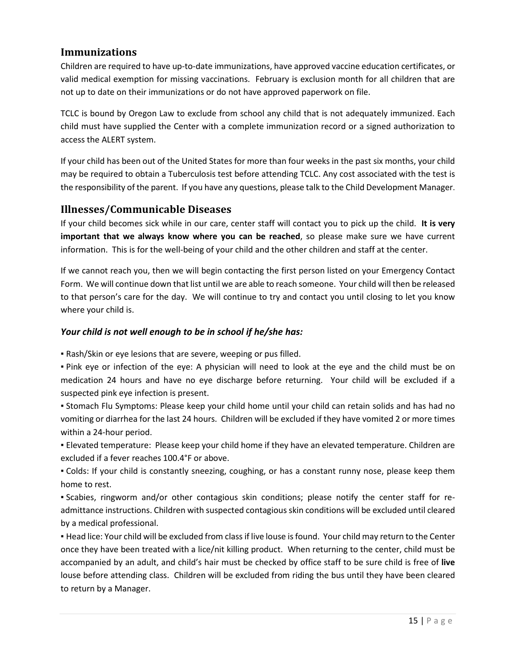#### <span id="page-14-0"></span>**Immunizations**

Children are required to have up-to-date immunizations, have approved vaccine education certificates, or valid medical exemption for missing vaccinations. February is exclusion month for all children that are not up to date on their immunizations or do not have approved paperwork on file.

TCLC is bound by Oregon Law to exclude from school any child that is not adequately immunized. Each child must have supplied the Center with a complete immunization record or a signed authorization to access the ALERT system.

If your child has been out of the United States for more than four weeks in the past six months, your child may be required to obtain a Tuberculosis test before attending TCLC. Any cost associated with the test is the responsibility of the parent. If you have any questions, please talk to the Child Development Manager.

#### <span id="page-14-1"></span>**Illnesses/Communicable Diseases**

If your child becomes sick while in our care, center staff will contact you to pick up the child. **It is very important that we always know where you can be reached**, so please make sure we have current information. This is for the well-being of your child and the other children and staff at the center.

If we cannot reach you, then we will begin contacting the first person listed on your Emergency Contact Form. We will continue down that list until we are able to reach someone. Your child will then be released to that person's care for the day. We will continue to try and contact you until closing to let you know where your child is.

#### *Your child is not well enough to be in school if he/she has:*

▪ Rash/Skin or eye lesions that are severe, weeping or pus filled.

▪ Pink eye or infection of the eye: A physician will need to look at the eye and the child must be on medication 24 hours and have no eye discharge before returning. Your child will be excluded if a suspected pink eye infection is present.

▪ Stomach Flu Symptoms: Please keep your child home until your child can retain solids and has had no vomiting or diarrhea for the last 24 hours. Children will be excluded if they have vomited 2 or more times within a 24-hour period.

▪ Elevated temperature: Please keep your child home if they have an elevated temperature. Children are excluded if a fever reaches 100.4°F or above.

▪ Colds: If your child is constantly sneezing, coughing, or has a constant runny nose, please keep them home to rest.

▪ Scabies, ringworm and/or other contagious skin conditions; please notify the center staff for readmittance instructions. Children with suspected contagious skin conditions will be excluded until cleared by a medical professional.

▪ Head lice: Your child will be excluded from class if live louse isfound. Your child may return to the Center once they have been treated with a lice/nit killing product. When returning to the center, child must be accompanied by an adult, and child's hair must be checked by office staff to be sure child is free of **live** louse before attending class. Children will be excluded from riding the bus until they have been cleared to return by a Manager.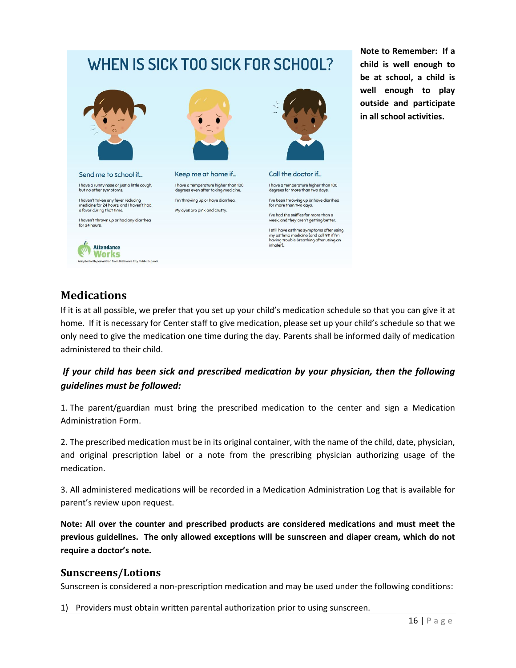# WHEN IS SICK TOO SICK FOR SCHOOL?



I have a runny nose or just a little cough, but no other sympto

I haven't taken any fever reducing<br>medicine for 24 hours, and I haven't had a fever during that time.

I haven't thrown up or had any diarrhea for 24 hours.

> **Attendance Works**

> > from Baltimore City Public Schools



Keep me at home if... I have a temperature higher than 100<br>degrees even after taking medicine. I'm throwing up or have diarrhea. My eyes are pink and crusty.



Call the doctor if... I have a temperature higher than 100<br>degrees for more than two days. I've been throwing up or have diarrhea<br>for more than two days. I've had the sniffles for more than a eek, and they aren't getting better.

I still have asthma symptoms after using I still have asthma symptoms after usin<br>my asthma medicine (and call 911 if I'm<br>having trouble breathing after using an<br>inhaler).

#### **Note to Remember: If a child is well enough to be at school, a child is well enough to play outside and participate in all school activities.**

# <span id="page-15-0"></span>**Medications**

If it is at all possible, we prefer that you set up your child's medication schedule so that you can give it at home. If it is necessary for Center staff to give medication, please set up your child's schedule so that we only need to give the medication one time during the day. Parents shall be informed daily of medication administered to their child.

### *If your child has been sick and prescribed medication by your physician, then the following guidelines must be followed:*

1. The parent/guardian must bring the prescribed medication to the center and sign a Medication Administration Form.

2. The prescribed medication must be in its original container, with the name of the child, date, physician, and original prescription label or a note from the prescribing physician authorizing usage of the medication.

3. All administered medications will be recorded in a Medication Administration Log that is available for parent's review upon request.

**Note: All over the counter and prescribed products are considered medications and must meet the previous guidelines. The only allowed exceptions will be sunscreen and diaper cream, which do not require a doctor's note.** 

#### <span id="page-15-1"></span>**Sunscreens/Lotions**

Sunscreen is considered a non-prescription medication and may be used under the following conditions:

1) Providers must obtain written parental authorization prior to using sunscreen.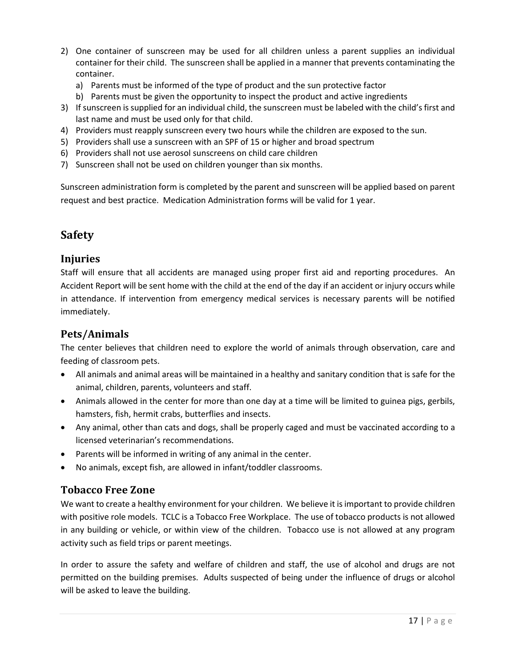- 2) One container of sunscreen may be used for all children unless a parent supplies an individual container for their child. The sunscreen shall be applied in a manner that prevents contaminating the container.
	- a) Parents must be informed of the type of product and the sun protective factor
	- b) Parents must be given the opportunity to inspect the product and active ingredients
- 3) If sunscreen is supplied for an individual child, the sunscreen must be labeled with the child's first and last name and must be used only for that child.
- 4) Providers must reapply sunscreen every two hours while the children are exposed to the sun.
- 5) Providers shall use a sunscreen with an SPF of 15 or higher and broad spectrum
- 6) Providers shall not use aerosol sunscreens on child care children
- 7) Sunscreen shall not be used on children younger than six months.

Sunscreen administration form is completed by the parent and sunscreen will be applied based on parent request and best practice. Medication Administration forms will be valid for 1 year.

# <span id="page-16-0"></span>**Safety**

#### <span id="page-16-1"></span>**Injuries**

Staff will ensure that all accidents are managed using proper first aid and reporting procedures. An Accident Report will be sent home with the child at the end of the day if an accident or injury occurs while in attendance. If intervention from emergency medical services is necessary parents will be notified immediately.

#### <span id="page-16-2"></span>**Pets/Animals**

The center believes that children need to explore the world of animals through observation, care and feeding of classroom pets.

- All animals and animal areas will be maintained in a healthy and sanitary condition that is safe for the animal, children, parents, volunteers and staff.
- Animals allowed in the center for more than one day at a time will be limited to guinea pigs, gerbils, hamsters, fish, hermit crabs, butterflies and insects.
- Any animal, other than cats and dogs, shall be properly caged and must be vaccinated according to a licensed veterinarian's recommendations.
- Parents will be informed in writing of any animal in the center.
- No animals, except fish, are allowed in infant/toddler classrooms.

#### <span id="page-16-3"></span>**Tobacco Free Zone**

We want to create a healthy environment for your children. We believe it is important to provide children with positive role models. TCLC is a Tobacco Free Workplace. The use of tobacco products is not allowed in any building or vehicle, or within view of the children. Tobacco use is not allowed at any program activity such as field trips or parent meetings.

In order to assure the safety and welfare of children and staff, the use of alcohol and drugs are not permitted on the building premises. Adults suspected of being under the influence of drugs or alcohol will be asked to leave the building.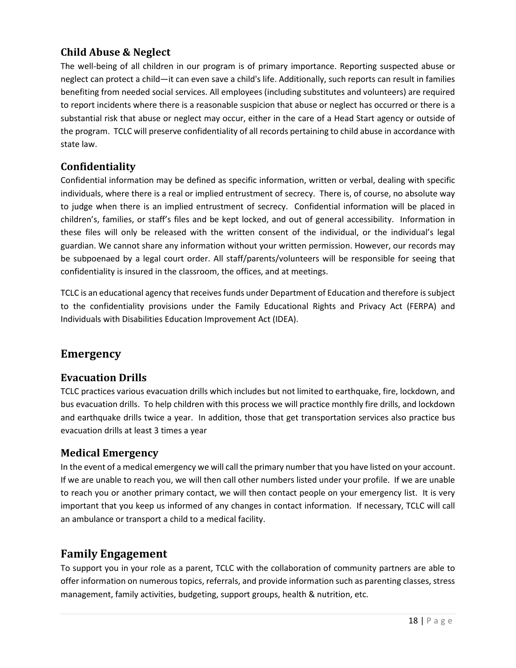# <span id="page-17-0"></span>**Child Abuse & Neglect**

The well-being of all children in our program is of primary importance. Reporting suspected abuse or neglect can protect a child—it can even save a child's life. Additionally, such reports can result in families benefiting from needed social services. All employees (including substitutes and volunteers) are required to report incidents where there is a reasonable suspicion that abuse or neglect has occurred or there is a substantial risk that abuse or neglect may occur, either in the care of a Head Start agency or outside of the program. TCLC will preserve confidentiality of all records pertaining to child abuse in accordance with state law.

#### <span id="page-17-1"></span>**Confidentiality**

Confidential information may be defined as specific information, written or verbal, dealing with specific individuals, where there is a real or implied entrustment of secrecy. There is, of course, no absolute way to judge when there is an implied entrustment of secrecy. Confidential information will be placed in children's, families, or staff's files and be kept locked, and out of general accessibility. Information in these files will only be released with the written consent of the individual, or the individual's legal guardian. We cannot share any information without your written permission. However, our records may be subpoenaed by a legal court order. All staff/parents/volunteers will be responsible for seeing that confidentiality is insured in the classroom, the offices, and at meetings.

TCLC is an educational agency that receives funds under Department of Education and therefore is subject to the confidentiality provisions under the Family Educational Rights and Privacy Act (FERPA) and Individuals with Disabilities Education Improvement Act (IDEA).

# <span id="page-17-2"></span>**Emergency**

#### <span id="page-17-3"></span>**Evacuation Drills**

TCLC practices various evacuation drills which includes but not limited to earthquake, fire, lockdown, and bus evacuation drills. To help children with this process we will practice monthly fire drills, and lockdown and earthquake drills twice a year. In addition, those that get transportation services also practice bus evacuation drills at least 3 times a year

#### <span id="page-17-4"></span>**Medical Emergency**

In the event of a medical emergency we will call the primary number that you have listed on your account. If we are unable to reach you, we will then call other numbers listed under your profile. If we are unable to reach you or another primary contact, we will then contact people on your emergency list. It is very important that you keep us informed of any changes in contact information. If necessary, TCLC will call an ambulance or transport a child to a medical facility.

# <span id="page-17-5"></span>**Family Engagement**

To support you in your role as a parent, TCLC with the collaboration of community partners are able to offer information on numerous topics, referrals, and provide information such as parenting classes, stress management, family activities, budgeting, support groups, health & nutrition, etc.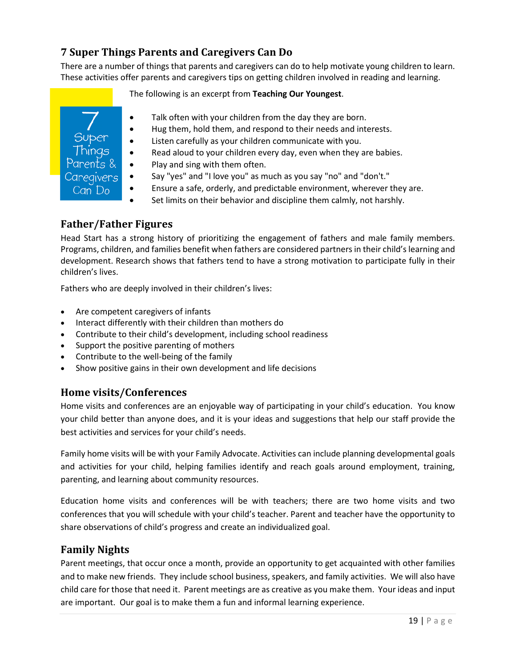# <span id="page-18-0"></span>**7 Super Things Parents and Caregivers Can Do**

There are a number of things that parents and caregivers can do to help motivate young children to learn. These activities offer parents and caregivers tips on getting children involved in reading and learning.

The following is an excerpt from **Teaching Our Youngest**.

- Talk often with your children from the day they are born.
- Hug them, hold them, and respond to their needs and interests.
- Listen carefully as your children communicate with you.
- Read aloud to your children every day, even when they are babies.
- Play and sing with them often.
- Say "yes" and "I love you" as much as you say "no" and "don't."
- Ensure a safe, orderly, and predictable environment, wherever they are.
- Set limits on their behavior and discipline them calmly, not harshly.

#### <span id="page-18-1"></span>**Father/Father Figures**

Head Start has a strong history of prioritizing the engagement of fathers and male family members. Programs, children, and families benefit when fathers are considered partners in their child's learning and development. Research shows that fathers tend to have a strong motivation to participate fully in their children's lives.

Fathers who are deeply involved in their children's lives:

- Are competent caregivers of infants
- Interact differently with their children than mothers do
- Contribute to their child's development, including school readiness
- Support the positive parenting of mothers
- Contribute to the well-being of the family
- Show positive gains in their own development and life decisions

#### <span id="page-18-2"></span>**Home visits/Conferences**

Home visits and conferences are an enjoyable way of participating in your child's education. You know your child better than anyone does, and it is your ideas and suggestions that help our staff provide the best activities and services for your child's needs.

Family home visits will be with your Family Advocate. Activities can include planning developmental goals and activities for your child, helping families identify and reach goals around employment, training, parenting, and learning about community resources.

Education home visits and conferences will be with teachers; there are two home visits and two conferences that you will schedule with your child's teacher. Parent and teacher have the opportunity to share observations of child's progress and create an individualized goal.

#### <span id="page-18-3"></span>**Family Nights**

Parent meetings, that occur once a month, provide an opportunity to get acquainted with other families and to make new friends. They include school business, speakers, and family activities. We will also have child care for those that need it. Parent meetings are as creative as you make them. Your ideas and input are important. Our goal is to make them a fun and informal learning experience.

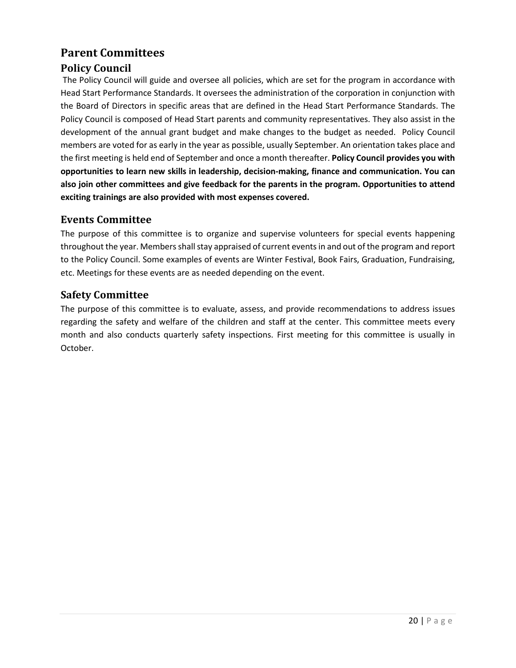# <span id="page-19-0"></span>**Parent Committees**

#### <span id="page-19-1"></span>**Policy Council**

The Policy Council will guide and oversee all policies, which are set for the program in accordance with Head Start Performance Standards. It oversees the administration of the corporation in conjunction with the Board of Directors in specific areas that are defined in the Head Start Performance Standards. The Policy Council is composed of Head Start parents and community representatives. They also assist in the development of the annual grant budget and make changes to the budget as needed. Policy Council members are voted for as early in the year as possible, usually September. An orientation takes place and the first meeting is held end of September and once a month thereafter. **Policy Council provides you with opportunities to learn new skills in leadership, decision-making, finance and communication. You can also join other committees and give feedback for the parents in the program. Opportunities to attend exciting trainings are also provided with most expenses covered.**

#### <span id="page-19-2"></span>**Events Committee**

The purpose of this committee is to organize and supervise volunteers for special events happening throughout the year. Members shall stay appraised of current events in and out of the program and report to the Policy Council. Some examples of events are Winter Festival, Book Fairs, Graduation, Fundraising, etc. Meetings for these events are as needed depending on the event.

#### <span id="page-19-3"></span>**Safety Committee**

The purpose of this committee is to evaluate, assess, and provide recommendations to address issues regarding the safety and welfare of the children and staff at the center. This committee meets every month and also conducts quarterly safety inspections. First meeting for this committee is usually in October.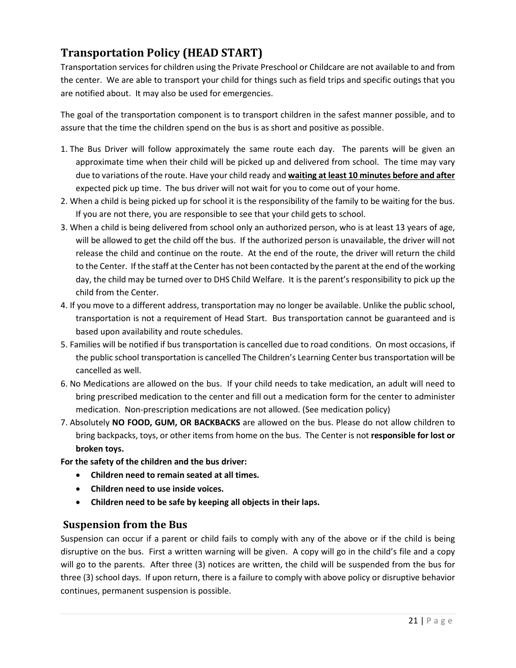# <span id="page-20-0"></span>**Transportation Policy (HEAD START)**

Transportation services for children using the Private Preschool or Childcare are not available to and from the center. We are able to transport your child for things such as field trips and specific outings that you are notified about. It may also be used for emergencies.

The goal of the transportation component is to transport children in the safest manner possible, and to assure that the time the children spend on the bus is as short and positive as possible.

- 1. The Bus Driver will follow approximately the same route each day. The parents will be given an approximate time when their child will be picked up and delivered from school. The time may vary due to variations of the route. Have your child ready and **waiting at least 10 minutes before and after** expected pick up time. The bus driver will not wait for you to come out of your home.
- 2. When a child is being picked up for school it is the responsibility of the family to be waiting for the bus. If you are not there, you are responsible to see that your child gets to school.
- 3. When a child is being delivered from school only an authorized person, who is at least 13 years of age, will be allowed to get the child off the bus. If the authorized person is unavailable, the driver will not release the child and continue on the route. At the end of the route, the driver will return the child to the Center. If the staff at the Center has not been contacted by the parent at the end of the working day, the child may be turned over to DHS Child Welfare. It is the parent's responsibility to pick up the child from the Center.
- 4. If you move to a different address, transportation may no longer be available. Unlike the public school, transportation is not a requirement of Head Start. Bus transportation cannot be guaranteed and is based upon availability and route schedules.
- 5. Families will be notified if bus transportation is cancelled due to road conditions. On most occasions, if the public school transportation is cancelled The Children's Learning Center bus transportation will be cancelled as well.
- 6. No Medications are allowed on the bus. If your child needs to take medication, an adult will need to bring prescribed medication to the center and fill out a medication form for the center to administer medication. Non-prescription medications are not allowed. (See medication policy)
- 7. Absolutely **NO FOOD, GUM, OR BACKBACKS** are allowed on the bus. Please do not allow children to bring backpacks, toys, or other items from home on the bus. The Center is not **responsible for lost or broken toys.**

**For the safety of the children and the bus driver:**

- **Children need to remain seated at all times.**
- **Children need to use inside voices.**
- **Children need to be safe by keeping all objects in their laps.**

#### <span id="page-20-1"></span>**Suspension from the Bus**

Suspension can occur if a parent or child fails to comply with any of the above or if the child is being disruptive on the bus. First a written warning will be given. A copy will go in the child's file and a copy will go to the parents. After three (3) notices are written, the child will be suspended from the bus for three (3) school days. If upon return, there is a failure to comply with above policy or disruptive behavior continues, permanent suspension is possible.